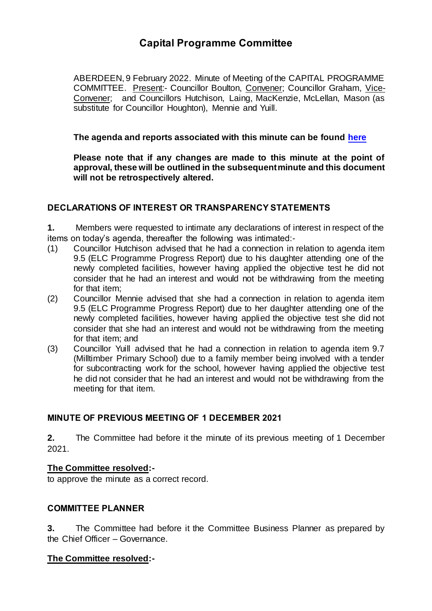# **Capital Programme Committee**

ABERDEEN, 9 February 2022. Minute of Meeting of the CAPITAL PROGRAMME COMMITTEE. Present:- Councillor Boulton, Convener; Councillor Graham, Vice-Convener; and Councillors Hutchison, Laing, MacKenzie, McLellan, Mason (as substitute for Councillor Houghton), Mennie and Yuill.

## **The agenda and reports associated with this minute can be found [here](https://committees.aberdeencity.gov.uk/ieListDocuments.aspx?CId=621&MId=8112&Ver=4)**

**Please note that if any changes are made to this minute at the point of approval, these will be outlined in the subsequent minute and this document will not be retrospectively altered.**

## **DECLARATIONS OF INTEREST OR TRANSPARENCY STATEMENTS**

**1.** Members were requested to intimate any declarations of interest in respect of the items on today's agenda, thereafter the following was intimated:-

- (1) Councillor Hutchison advised that he had a connection in relation to agenda item 9.5 (ELC Programme Progress Report) due to his daughter attending one of the newly completed facilities, however having applied the objective test he did not consider that he had an interest and would not be withdrawing from the meeting for that item;
- (2) Councillor Mennie advised that she had a connection in relation to agenda item 9.5 (ELC Programme Progress Report) due to her daughter attending one of the newly completed facilities, however having applied the objective test she did not consider that she had an interest and would not be withdrawing from the meeting for that item; and
- (3) Councillor Yuill advised that he had a connection in relation to agenda item 9.7 (Milltimber Primary School) due to a family member being involved with a tender for subcontracting work for the school, however having applied the objective test he did not consider that he had an interest and would not be withdrawing from the meeting for that item.

# **MINUTE OF PREVIOUS MEETING OF 1 DECEMBER 2021**

**2.** The Committee had before it the minute of its previous meeting of 1 December 2021.

## **The Committee resolved:-**

to approve the minute as a correct record.

## **COMMITTEE PLANNER**

**3.** The Committee had before it the Committee Business Planner as prepared by the Chief Officer – Governance.

## **The Committee resolved:-**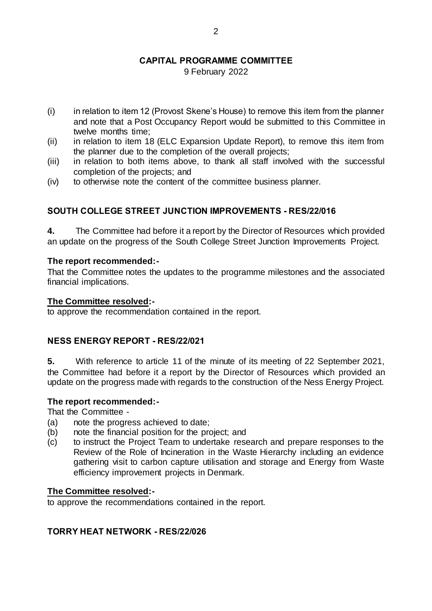# **CAPITAL PROGRAMME COMMITTEE**

9 February 2022

- (i) in relation to item 12 (Provost Skene's House) to remove this item from the planner and note that a Post Occupancy Report would be submitted to this Committee in twelve months time;
- (ii) in relation to item 18 (ELC Expansion Update Report), to remove this item from the planner due to the completion of the overall projects;
- (iii) in relation to both items above, to thank all staff involved with the successful completion of the projects; and
- (iv) to otherwise note the content of the committee business planner.

# **SOUTH COLLEGE STREET JUNCTION IMPROVEMENTS - RES/22/016**

**4.** The Committee had before it a report by the Director of Resources which provided an update on the progress of the South College Street Junction Improvements Project.

## **The report recommended:-**

That the Committee notes the updates to the programme milestones and the associated financial implications.

#### **The Committee resolved:-**

to approve the recommendation contained in the report.

## **NESS ENERGY REPORT - RES/22/021**

**5.** With reference to article 11 of the minute of its meeting of 22 September 2021, the Committee had before it a report by the Director of Resources which provided an update on the progress made with regards to the construction of the Ness Energy Project.

## **The report recommended:-**

That the Committee -

- (a) note the progress achieved to date;
- (b) note the financial position for the project; and
- (c) to instruct the Project Team to undertake research and prepare responses to the Review of the Role of Incineration in the Waste Hierarchy including an evidence gathering visit to carbon capture utilisation and storage and Energy from Waste efficiency improvement projects in Denmark.

## **The Committee resolved:-**

to approve the recommendations contained in the report.

## **TORRY HEAT NETWORK - RES/22/026**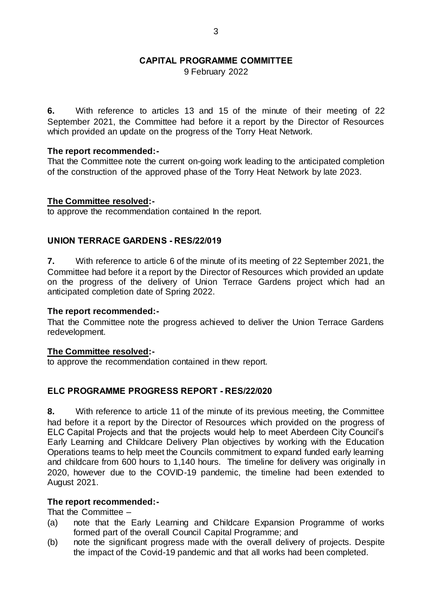## **CAPITAL PROGRAMME COMMITTEE**

9 February 2022

**6.** With reference to articles 13 and 15 of the minute of their meeting of 22 September 2021, the Committee had before it a report by the Director of Resources which provided an update on the progress of the Torry Heat Network.

#### **The report recommended:-**

That the Committee note the current on-going work leading to the anticipated completion of the construction of the approved phase of the Torry Heat Network by late 2023.

#### **The Committee resolved:-**

to approve the recommendation contained In the report.

## **UNION TERRACE GARDENS - RES/22/019**

**7.** With reference to article 6 of the minute of its meeting of 22 September 2021, the Committee had before it a report by the Director of Resources which provided an update on the progress of the delivery of Union Terrace Gardens project which had an anticipated completion date of Spring 2022.

## **The report recommended:-**

That the Committee note the progress achieved to deliver the Union Terrace Gardens redevelopment.

#### **The Committee resolved:-**

to approve the recommendation contained in thew report.

## **ELC PROGRAMME PROGRESS REPORT - RES/22/020**

**8.** With reference to article 11 of the minute of its previous meeting, the Committee had before it a report by the Director of Resources which provided on the progress of ELC Capital Projects and that the projects would help to meet Aberdeen City Council's Early Learning and Childcare Delivery Plan objectives by working with the Education Operations teams to help meet the Councils commitment to expand funded early learning and childcare from 600 hours to 1,140 hours. The timeline for delivery was originally in 2020, however due to the COVID-19 pandemic, the timeline had been extended to August 2021.

## **The report recommended:-**

That the Committee –

- (a) note that the Early Learning and Childcare Expansion Programme of works formed part of the overall Council Capital Programme; and
- (b) note the significant progress made with the overall delivery of projects. Despite the impact of the Covid-19 pandemic and that all works had been completed.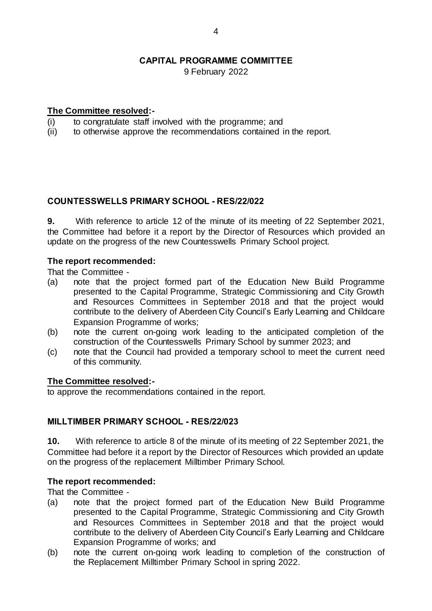9 February 2022

## **The Committee resolved:-**

- (i) to congratulate staff involved with the programme; and (ii) to otherwise approve the recommendations contained in
- to otherwise approve the recommendations contained in the report.

## **COUNTESSWELLS PRIMARY SCHOOL - RES/22/022**

**9.** With reference to article 12 of the minute of its meeting of 22 September 2021, the Committee had before it a report by the Director of Resources which provided an update on the progress of the new Countesswells Primary School project.

## **The report recommended:**

That the Committee -

- (a) note that the project formed part of the Education New Build Programme presented to the Capital Programme, Strategic Commissioning and City Growth and Resources Committees in September 2018 and that the project would contribute to the delivery of Aberdeen City Council's Early Learning and Childcare Expansion Programme of works;
- (b) note the current on-going work leading to the anticipated completion of the construction of the Countesswells Primary School by summer 2023; and
- (c) note that the Council had provided a temporary school to meet the current need of this community.

## **The Committee resolved:-**

to approve the recommendations contained in the report.

## **MILLTIMBER PRIMARY SCHOOL - RES/22/023**

**10.** With reference to article 8 of the minute of its meeting of 22 September 2021, the Committee had before it a report by the Director of Resources which provided an update on the progress of the replacement Milltimber Primary School.

## **The report recommended:**

That the Committee -

- (a) note that the project formed part of the Education New Build Programme presented to the Capital Programme, Strategic Commissioning and City Growth and Resources Committees in September 2018 and that the project would contribute to the delivery of Aberdeen City Council's Early Learning and Childcare Expansion Programme of works; and
- (b) note the current on-going work leading to completion of the construction of the Replacement Milltimber Primary School in spring 2022.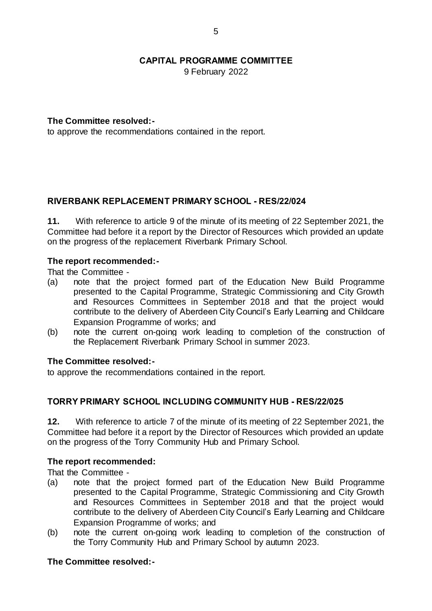9 February 2022

## **The Committee resolved:-**

to approve the recommendations contained in the report.

## **RIVERBANK REPLACEMENT PRIMARY SCHOOL - RES/22/024**

**11.** With reference to article 9 of the minute of its meeting of 22 September 2021, the Committee had before it a report by the Director of Resources which provided an update on the progress of the replacement Riverbank Primary School.

## **The report recommended:-**

That the Committee -

- (a) note that the project formed part of the Education New Build Programme presented to the Capital Programme, Strategic Commissioning and City Growth and Resources Committees in September 2018 and that the project would contribute to the delivery of Aberdeen City Council's Early Learning and Childcare Expansion Programme of works; and
- (b) note the current on-going work leading to completion of the construction of the Replacement Riverbank Primary School in summer 2023.

## **The Committee resolved:-**

to approve the recommendations contained in the report.

## **TORRY PRIMARY SCHOOL INCLUDING COMMUNITY HUB - RES/22/025**

**12.** With reference to article 7 of the minute of its meeting of 22 September 2021, the Committee had before it a report by the Director of Resources which provided an update on the progress of the Torry Community Hub and Primary School.

## **The report recommended:**

That the Committee -

- (a) note that the project formed part of the Education New Build Programme presented to the Capital Programme, Strategic Commissioning and City Growth and Resources Committees in September 2018 and that the project would contribute to the delivery of Aberdeen City Council's Early Learning and Childcare Expansion Programme of works; and
- (b) note the current on-going work leading to completion of the construction of the Torry Community Hub and Primary School by autumn 2023.

## **The Committee resolved:-**